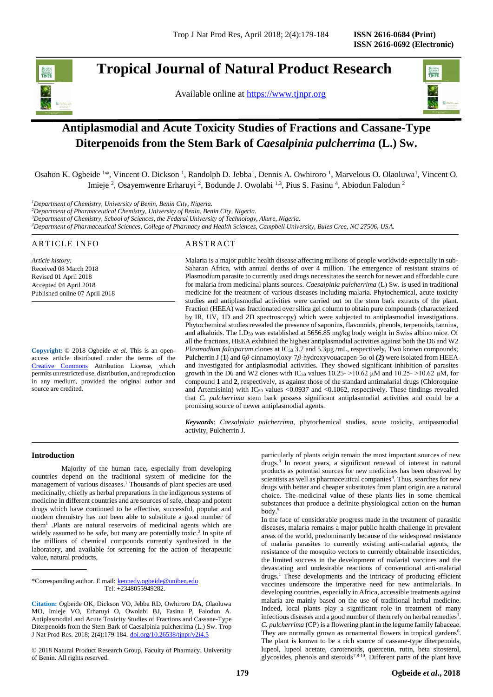# **Tropical Journal of Natural Product Research**

Available online at [https://www.tjnpr.org](https://www.tjnpr.org/)



# **Antiplasmodial and Acute Toxicity Studies of Fractions and Cassane-Type Diterpenoids from the Stem Bark of** *Caesalpinia pulcherrima* **(L.) Sw.**

Osahon K. Ogbeide <sup>1</sup>\*, Vincent O. Dickson <sup>1</sup>, Randolph D. Jebba<sup>1</sup>, Dennis A. Owhiroro <sup>1</sup>, Marvelous O. Olaoluwa<sup>1</sup>, Vincent O. Imieje <sup>2</sup>, Osayemwenre Erharuyi <sup>2</sup>, Bodunde J. Owolabi <sup>1,3</sup>, Pius S. Fasinu <sup>4</sup>, Abiodun Falodun <sup>2</sup>

*<sup>1</sup>Department of Chemistry, University of Benin, Benin City, Nigeria.* 

*<sup>2</sup>Department of Pharmaceutical Chemistry, University of Benin, Benin City, Nigeria.* 

*<sup>3</sup>Department of Chemistry, School of Sciences, the Federal University of Technology, Akure, Nigeria.*

*<sup>4</sup>Department of Pharmaceutical Sciences, College of Pharmacy and Health Sciences, Campbell University, Buies Cree, NC 27506, USA.*

| ARTICLE INFO                                                          | ABSTRACT                                                                                                              |
|-----------------------------------------------------------------------|-----------------------------------------------------------------------------------------------------------------------|
| Article history:                                                      | Malaria is a major public health disease affecting millions of people worldwide especially in sub-                    |
| Received 08 March 2018                                                | Saharan Africa, with annual deaths of over 4 million. The emergence of resistant strains of                           |
| Revised 01 April 2018                                                 | Plasmodium parasite to currently used drugs necessitates the search for newer and affordable cure                     |
| Accepted 04 April 2018                                                | for malaria from medicinal plants sources. Caesalpinia pulcherrima (L) Sw. is used in traditional                     |
| Published online 07 April 2018                                        | medicine for the treatment of various diseases including malaria. Phytochemical, acute toxicity                       |
|                                                                       | studies and antiplasmodial activities were carried out on the stem bark extracts of the plant.                        |
|                                                                       | Fraction (HEEA) was fractionated over silica gel column to obtain pure compounds (characterized                       |
|                                                                       | by IR, UV, 1D and 2D spectroscopy) which were subjected to antiplasmodial investigations.                             |
|                                                                       | Phytochemical studies revealed the presence of saponins, flavonoids, phenols, terpenoids, tannins,                    |
|                                                                       | and alkaloids. The LD <sub>50</sub> was established at 5656.85 mg/kg body weight in Swiss albino mice. Of             |
|                                                                       | all the fractions, HEEA exhibited the highest antiplasmodial activities against both the D6 and W2                    |
| <b>Copyright:</b> $\odot$ 2018 Ogbeide <i>et al.</i> This is an open- | <i>Plasmodium falciparum</i> clones at $IC_{50}$ 3.7 and 5.3 $\mu$ g/mL, respectively. Two known compounds;           |
| access article distributed under the terms of the                     | Pulcherrin J (1) and 6 <i>β</i> -cinnamoyloxy-7 <i>β</i> -hydroxyvouacapen-5 <i>α</i> -ol (2) were isolated from HEEA |
| Creative Commons Attribution License,<br>which                        | and investigated for antiplasmodial activities. They showed significant inhibition of parasites                       |

[Creative Commons](https://creativecommons.org/licenses/by/4.0/) Attribution License, which permits unrestricted use, distribution, and reproduction in any medium, provided the original author and source are credited.

and investigated for antiplasmodial activities. They showed significant inhibition of parasites growth in the D6 and W2 clones with IC<sub>50</sub> values 10.25- >10.62  $\mu$ M and 10.25- >10.62  $\mu$ M, for compound **1** and **2**, respectively, as against those of the standard antimalarial drugs (Chloroquine and Artemisinin) with  $IC_{50}$  values <0.0937 and <0.1062, respectively. These findings revealed that *C. pulcherrima* stem bark possess significant antiplasmodial activities and could be a promising source of newer antiplasmodial agents.

*Keywords*: *Caesalpinia pulcherrima,* phytochemical studies, acute toxicity, antipasmodial activity, Pulcherrin J.

# **Introduction**

Majority of the human race, especially from developing countries depend on the traditional system of medicine for the management of various diseases. <sup>1</sup> Thousands of plant species are used medicinally, chiefly as herbal preparations in the indigenous systems of medicine in different countries and are sources of safe, cheap and potent drugs which have continued to be effective, successful, popular and modern chemistry has not been able to substitute a good number of them<sup>1</sup> .Plants are natural reservoirs of medicinal agents which are widely assumed to be safe, but many are potentially toxic. 2 In spite of the millions of chemical compounds currently synthesized in the laboratory, and available for screening for the action of therapeutic value, natural products,

\*Corresponding author. E mail: [kennedy.ogbeide@uniben.edu](mailto:kennedy.ogbeide@uniben.edu) Tel: +2348055949282.

**Citation:** Ogbeide OK, Dickson VO, Jebba RD, Owhiroro DA, Olaoluwa MO, Imieje VO, Erharuyi O, Owolabi BJ, Fasinu P, Falodun A. Antiplasmodial and Acute Toxicity Studies of Fractions and Cassane-Type Diterpenoids from the Stem Bark of Caesalpinia pulcherrima (L.) Sw. Trop J Nat Prod Res. 2018; 2(4):179-184. [doi.org/10.26538/tjnpr/v2i4.5](http://www.doi.org/10.26538/tjnpr/v1i4.5)

© 2018 Natural Product Research Group, Faculty of Pharmacy, University of Benin. All rights reserved.

particularly of plants origin remain the most important sources of new drugs. 3 In recent years, a significant renewal of interest in natural products as potential sources for new medicines has been observed by scientists as well as pharmaceutical companies<sup>4</sup>. Thus, searches for new drugs with better and cheaper substitutes from plant origin are a natural choice. The medicinal value of these plants lies in some chemical substances that produce a definite physiological action on the human body. 5

In the face of considerable progress made in the treatment of parasitic diseases, malaria remains a major public health challenge in prevalent areas of the world, predominantly because of the widespread resistance of malaria parasites to currently existing anti-malarial agents, the resistance of the mosquito vectors to currently obtainable insecticides, the limited success in the development of malarial vaccines and the devastating and undesirable reactions of conventional anti-malarial drugs. <sup>1</sup> These developments and the intricacy of producing efficient vaccines underscore the imperative need for new antimalarials. In developing countries, especially in Africa, accessible treatments against malaria are mainly based on the use of traditional herbal medicine. Indeed, local plants play a significant role in treatment of many infectious diseases and a good number of them rely on herbal remedies $<sup>1</sup>$ .</sup> *C. pulcherrima* (CP) is a flowering plant in the legume family fabaceae. They are normally grown as ornamental flowers in tropical gardens<sup>6</sup>. The plant is known to be a rich source of cassane-type diterpenoids, lupeol, lupeol acetate, carotenoids, quercetin, rutin, beta sitosterol, glycosides, phenols and steroids<sup>7,8-10</sup>. Different parts of the plant have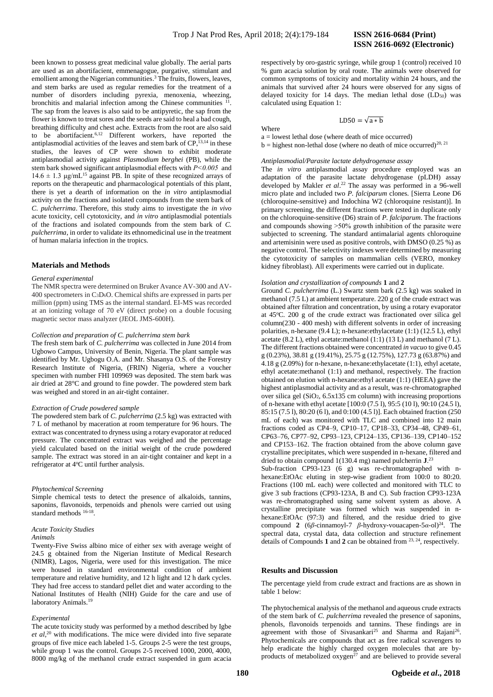been known to possess great medicinal value globally. The aerial parts are used as an abortifacient, emmenagogue, purgative, stimulant and emollient among the Nigerian communities. <sup>3</sup> The fruits, flowers, leaves, and stem barks are used as regular remedies for the treatment of a number of disorders including pyrexia, menoxenia, wheezing, bronchitis and malarial infection among the Chinese communities <sup>1</sup> . The sap from the leaves is also said to be antipyretic, the sap from the flower is known to treat sores and the seeds are said to heal a bad cough, breathing difficulty and chest ache. Extracts from the root are also said to be abortifacient. 6,12 Different workers, have reported the antiplasmodial activities of the leaves and stem bark of  $CP$ ,  $^{13,14}$  in these studies, the leaves of CP were shown to exhibit moderate antiplasmodial activity against *Plasmodium berghei* (PB), while the stem bark showed significant antiplasmodial effects with *P˂0.005* and  $14.6 \pm 1.3$  μg/mL<sup>15</sup> against PB. In spite of these recognized arrays of reports on the therapeutic and pharmacological potentials of this plant, there is yet a dearth of information on the *in vitro* antiplasmodial activity on the fractions and isolated compounds from the stem bark of *C. pulcherrima*. Therefore, this study aims to investigate the *in vivo*  acute toxicity, cell cytotoxicity, and *in vitro* antiplasmodial potentials of the fractions and isolated compounds from the stem bark of *C. pulcherrima*, in order to validate its ethnomedicinal use in the treatment of human malaria infection in the tropics.

# **Materials and Methods**

## *General experimental*

The NMR spectra were determined on Bruker Avance AV-300 and AV-400 spectrometers in C3D6O. Chemical shifts are expressed in parts per million (ppm) using TMS as the internal standard. EI-MS was recorded at an ionizing voltage of 70 eV (direct probe) on a double focusing magnetic sector mass analyzer (JEOL JMS-600H).

## *Collection and preparation of C. pulcherrima stem bark*

The fresh stem bark of *C. pulcherrima* was collected in June 2014 from Ugbowo Campus, University of Benin, Nigeria. The plant sample was identified by Mr. Ugbogu O.A. and Mr. Shasanya O.S. of the Forestry Research Institute of Nigeria, (FRIN) Nigeria, where a voucher specimen with number FHI 109969 was deposited. The stem bark was air dried at 28°C and ground to fine powder. The powdered stem bark was weighed and stored in an air-tight container.

# *Extraction of Crude powdered sample*

The powdered stem bark of *C. pulcherrima* (2.5 kg) was extracted with 7 L of methanol by maceration at room temperature for 96 hours. The extract was concentrated to dryness using a rotary evaporator at reduced pressure. The concentrated extract was weighed and the percentage yield calculated based on the initial weight of the crude powdered sample. The extract was stored in an air-tight container and kept in a refrigerator at 4°C until further analysis.

#### *Phytochemical Screening*

Simple chemical tests to detect the presence of alkaloids, tannins, saponins, flavonoids, terpenoids and phenols were carried out using standard methods <sup>16-18</sup>.

# *Acute Toxicity Studies*

#### *Animals*

Twenty-Five Swiss albino mice of either sex with average weight of 24.5 g obtained from the Nigerian Institute of Medical Research (NIMR), Lagos, Nigeria, were used for this investigation. The mice were housed in standard environmental condition of ambient temperature and relative humidity, and 12 h light and 12 h dark cycles. They had free access to standard pellet diet and water according to the National Institutes of Health (NIH) Guide for the care and use of laboratory Animals.<sup>19</sup>

#### *Experimental*

The acute toxicity study was performed by a method described by Igbe *et al,*<sup>20</sup> with modifications. The mice were divided into five separate groups of five mice each labeled 1-5. Groups 2-5 were the test groups, while group 1 was the control. Groups 2-5 received 1000, 2000, 4000, 8000 mg/kg of the methanol crude extract suspended in gum acacia

respectively by oro-gastric syringe, while group 1 (control) received 10 % gum acacia solution by oral route. The animals were observed for common symptoms of toxicity and mortality within 24 hours, and the animals that survived after 24 hours were observed for any signs of delayed toxicity for 14 days. The median lethal dose  $(LD_{50})$  was calculated using Equation 1:

 $LD50 = \sqrt{a * b}$ 

Where

 $a =$ lowest lethal dose (where death of mice occurred)

 $b =$  highest non-lethal dose (where no death of mice occurred)<sup>20, 21</sup>

# *Antiplasmodial/Parasite lactate dehydrogenase assay*

The *in vitro* antiplasmodial assay procedure employed was an adaptation of the parasite lactate dehydrogenase (pLDH) assay developed by Makler *et al*. <sup>22</sup> The assay was performed in a 96-well micro plate and included two *P. falciparum* clones. [Sierra Leone D6 (chloroquine-sensitive) and Indochina W2 (chloroquine resistant)]. In primary screening, the different fractions were tested in duplicate only on the chloroquine-sensitive (D6) strain of *P. falciparum*. The fractions and compounds showing >50% growth inhibition of the parasite were subjected to screening. The standard antimalarial agents chloroquine and artemisinin were used as positive controls, with  $\overline{DMSO}$  (0.25 %) as negative control. The selectivity indexes were determined by measuring the cytotoxicity of samples on mammalian cells (VERO, monkey kidney fibroblast). All experiments were carried out in duplicate.

# *Isolation and crystallization of compounds* **1** and **2**

Ground *C. pulcherrima* (L.) Swartz stem bark (2.5 kg) was soaked in methanol (7.5 L) at ambient temperature. 220 g of the crude extract was obtained after filtration and concentration, by using a rotary evaporator at  $45^{\circ}$ C. 200 g of the crude extract was fractionated over silica gel column(230 - 400 mesh) with different solvents in order of increasing polarities, n-hexane (9.4 L); n-hexane:ethylacetate (1:1) (12.5 L), ethyl acetate (8.2 L), ethyl acetate: methanol  $(1:1)$  (13 L) and methanol (7 L). The different fractions obtained were concentrated *in vacuo* to give 0.45 g (0.23%), 38.81 g (19.41%), 25.75 g (12.75%), 127.73 g (63.87%) and 4.18 g (2.09%) for n-hexane, n-hexane:ethylacetate (1:1), ethyl acetate, ethyl acetate:methanol (1:1) and methanol, respectively. The fraction obtained on elution with n-hexane:ethyl acetate (1:1) (HEEA) gave the highest antiplasmodial activity and as a result, was re-chromatographed over silica gel  $(SiO<sub>2</sub>, 6.5x135$  cm column) with increasing proportions of n-hexane with ethyl acetate [100:0 (7.5 l), 95:5 (10 l), 90:10 (24.5 l), 85:15 (7.5 l), 80:20 (6 l), and 0:100 (4.5 l)]. Each obtained fraction (250 mL of each) was monitored with TLC and combined into 12 main fractions coded as CP4–9, CP10–17, CP18–33, CP34–48, CP49–61, CP63–76, CP77–92, CP93–123, CP124–135, CP136–139, CP140–152 and CP153–162. The fraction obtained from the above column gave crystalline precipitates, which were suspended in n-hexane, filtered and dried to obtain compound 1(130.4 mg) named pulcherrin **J**. 23

Sub-fraction CP93-123 (6 g) was re-chromatographed with nhexane:EtOAc eluting in step-wise gradient from 100:0 to 80:20. Fractions (100 mL each) were collected and monitored with TLC to give 3 sub fractions (CP93-123A, B and C). Sub fraction CP93-123A was re-chromatographed using same solvent system as above. A crystalline precipitate was formed which was suspended in nhexane:EtOAc (97:3) and filtered, and the residue dried to give compound **2** (6β-cinnamoyl-7 β-hydroxy-vouacapen-5α-ol)<sup>24</sup>. The spectral data, crystal data, data collection and structure refinement details of Compounds **1** and **2** can be obtained from 23, 24, respectively.

# **Results and Discussion**

The percentage yield from crude extract and fractions are as shown in table 1 below:

The phytochemical analysis of the methanol and aqueous crude extracts of the stem bark of *C. pulcherrima* revealed the presence of saponins, phenols, flavonoids terpenoids and tannins. These findings are in agreement with those of Sivasankari<sup>25</sup> and Sharma and Rajani<sup>26</sup>. Phytochemicals are compounds that act as free radical scavengers to help eradicate the highly charged oxygen molecules that are byproducts of metabolized oxygen $^{27}$  and are believed to provide several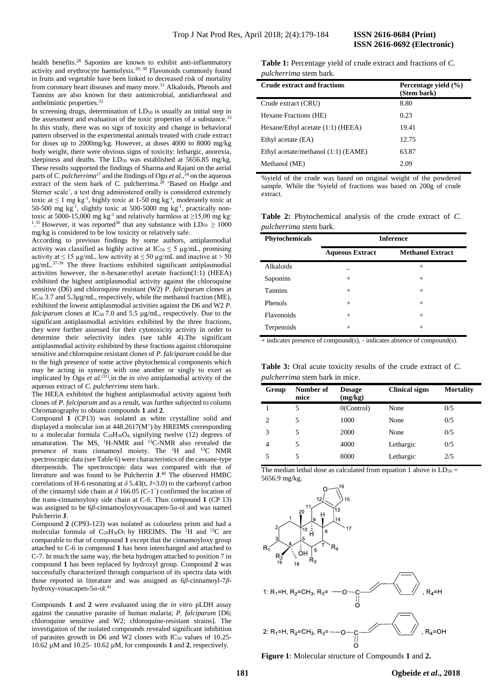health benefits.<sup>28</sup> Saponins are known to exhibit anti-inflammatory activity and erythrocyte haemolysis.<sup>29, 30</sup> Flavonoids commonly found in fruits and vegetable have been linked to decreased risk of mortality from coronary heart diseases and many more.<sup>31</sup> Alkaloids, Phenols and Tannins are also known for their antimicrobial, antidiarrhoeal and anthelmintic properties.<sup>32</sup>

In screening drugs, determination of  $LD_{50}$  is usually an initial step in the assessment and evaluation of the toxic properties of a substance.<sup>33</sup> In this study, there was no sign of toxicity and change in behavioral pattern observed in the experimental animals treated with crude extract for doses up to 2000mg/kg. However, at doses 4000 to 8000 mg/kg body weight, there were obvious signs of toxicity: lethargic, anorexia, sleepiness and deaths. The LD<sub>50</sub> was established at 5656.85 mg/kg. These results supported the findings of Sharma and Rajani on the aerial parts of *C. pulcherrima*<sup>17</sup> and the findings of Ogu *et al.*, <sup>34</sup> on the aqueous extract of the stem bark of *C*. pulcherrima.<sup>28</sup> 'Based on Hodge and Sterner scale', a test drug administered orally is considered extremely toxic at  $\leq 1$  mg kg<sup>-1</sup>, highly toxic at 1-50 mg kg<sup>-1</sup>, moderately toxic at 50-500 mg kg-1 , slightly toxic at 500-5000 mg kg-1 , practically nontoxic at 5000-15,000 mg kg<sup>-1</sup> and relatively harmless at  $\geq$ 15,00 mg kg<sup>-1</sup> <sup>1,35</sup> However, it was reported<sup>36</sup> that any substance with  $LD_{50} \ge 1000$ mg/kg is considered to be low toxicity or relatively safe.

According to previous findings by some authors, antiplasmodial activity was classified as highly active at  $IC_{50} \leq 5 \mu g/mL$ , promising activity at  $\leq 15$  µg/mL, low activity at  $\leq 50$  µg/mL and inactive at  $> 50$  $\mu$ g/mL.<sup>37-39</sup> The three fractions exhibited significant antiplasmodial activities however, the n-hexane:ethyl acetate fraction(1:1) (HEEA) exhibited the highest antiplasmodial activity against the chloroquine sensitive (D6) and chloroquine resistant (W2) *P. falciparum* clones at IC<sup>50</sup> 3.7 and 5.3µg/mL, respectively, while the methanol fraction (ME), exhibited the lowest antiplasmodial activities against the D6 and W2 *P. falciparum* clones at  $IC_{50}$  7.0 and 5.5  $\mu$ g/mL, respectively. Due to the significant antiplasmodial activities exhibited by the three fractions, they were further assessed for their cytotoxicity activity in order to determine their selectivity index (see table 4).The significant antiplasmodial activity exhibited by these fractions against chloroquine sensitive and chloroquine resistant clones of *P. falciparum* could be due to the high presence of some active phytochemical components which may be acting in synergy with one another or singly to exert as implicated by Ogu *et al.*[31],in the *in vivo* antiplamodial activity of the aqueous extract of *C. pulcherrima* stem bark.

The HEEA exhibited the highest antiplasmodial activity against both clones of *P. falciparum* and as a result, was further subjected to column Chromatography to obtain compounds **1** and **2**.

Compound **1** (CP13) was isolated as white crystalline solid and displayed a molecular ion at 448.2617(M<sup>+</sup> ) by HREIMS corresponding to a molecular formula  $C_{29}H_{36}O_4$ , signifying twelve (12) degrees of unsaturation. The MS, <sup>1</sup>H-NMR and <sup>13</sup>C-NMR also revealed the presence of trans cinnamoyl moiety. The <sup>1</sup>H and <sup>13</sup>C NMR spectroscopic data (see Table 6) were characteristics of the cassane-type diterpenoids. The spectroscopic data was compared with that of literature and was found to be Pulcherrin **J**. <sup>40</sup> The observed HMBC correlations of H-6 resonating at  $\delta$  5.43(t, J=3.0) to the carbonyl carbon of the cinnamyl side chain at *δ* 166.05 (C-1´) confirmed the location of the trans-cinnamoyloxy side chain at C-6. Thus compound **1** (CP 13) was assigned to be 6*β*-cinnamoyloxyvouacapen-5*α*-ol and was named Pulcherrin **J**.

Compound **2** (CP93-123) was isolated as colourless prism and had a molecular formula of  $C_{29}H_{36}O_5$  by HREIMS. The <sup>1</sup>H and <sup>13</sup>C are comparable to that of compound **1** except that the cinnamoyloxy group attached to C-6 in compound **1** has been interchanged and attached to C-7. In much the same way, the beta hydrogen attached to position 7 in compound **1** has been replaced by hydroxyl group. Compound **2** was successfully characterized through comparison of its spectra data with those reported in literature and was assigned as 6*β*-cinnamoyl-7*β*hydroxy-vouacapen-5*α*-ol.<sup>41</sup>

Compounds **1** and **2** were evaluated using the *in vitro* pLDH assay against the causative parasite of human malaria; *P. falciparum* [D6; chloroquine sensitive and W2; chloroquine-resistant strains]. The investigation of the isolated compounds revealed significant inhibition of parasites growth in D6 and W2 clones with  $IC_{50}$  values of 10.25-10.62 µM and 10.25- 10.62 µM, for compounds **1** and **2**, respectively.

**Table 1:** Percentage yield of crude extract and fractions of *C. pulcherrima* stem bark.

| <b>Crude extract and fractions</b>  | Percentage yield (%)<br>(Stem bark) |
|-------------------------------------|-------------------------------------|
| Crude extract (CRU)                 | 8.80                                |
| Hexane Fractions (HE)               | 0.23                                |
| Hexane/Ethyl acetate (1:1) (HEEA)   | 19.41                               |
| Ethyl acetate (EA)                  | 12.75                               |
| Ethyl acetate/methanol (1:1) (EAME) | 63.87                               |
| Methanol (ME)                       | 2.09                                |

%yield of the crude was based on original weight of the powdered sample. While the %yield of fractions was based on 200g of crude extract.

**Table 2:** Phytochemical analysis of the crude extract of *C. pulcherrima* stem bark.

| Phytochemicals | <b>Inference</b>       |                         |  |  |
|----------------|------------------------|-------------------------|--|--|
|                | <b>Aqueous Extract</b> | <b>Methanol Extract</b> |  |  |
| Alkaloids      |                        | $^+$                    |  |  |
| Saponins       | $^{+}$                 | $\pm$                   |  |  |
| <b>Tannins</b> | $^{+}$                 | $\pm$                   |  |  |
| Phenols        | $^{+}$                 | $^{+}$                  |  |  |
| Flavonoids     | $^{+}$                 | $^{+}$                  |  |  |
| Terpenoids     | $^{+}$                 | $\pm$                   |  |  |

+ indicates presence of compound(s), - indicates absence of compound(s).

**Table 3:** Oral acute toxicity results of the crude extract of *C. pulcherrima* stem bark in mice.

| Group | Number of<br>mice | <b>Dosage</b><br>(mg/kg) | <b>Clinical signs</b> | <b>Mortality</b> |
|-------|-------------------|--------------------------|-----------------------|------------------|
|       | 5                 | O(Control)               | None                  | 0/5              |
| 2     | 5                 | 1000                     | None                  | 0/5              |
| 3     | 5                 | 2000                     | None                  | 0/5              |
| 4     | 5                 | 4000                     | Lethargic             | 0/5              |
| 5     | 5                 | 8000                     | Lethargic             | 2/5              |

The median lethal dose as calculated from equation 1 above is  $LD_{50} =$ 5656.9 mg/kg.



**Figure 1**: Molecular structure of Compounds **1** and **2.**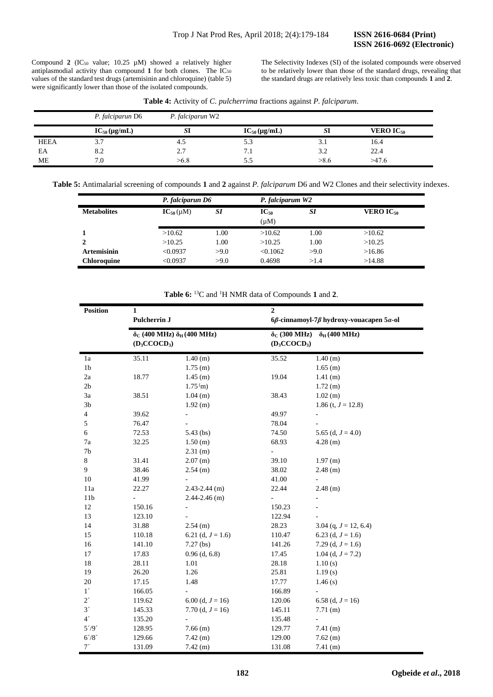Compound 2 (IC<sub>50</sub> value; 10.25  $\mu$ M) showed a relatively higher antiplasmodial activity than compound 1 for both clones. The IC<sub>50</sub> values of the standard test drugs (artemisinin and chloroquine) (table 5) were significantly lower than those of the isolated compounds.

The Selectivity Indexes (SI) of the isolated compounds were observed to be relatively lower than those of the standard drugs, revealing that the standard drugs are relatively less toxic than compounds **1** and **2**.

| Table 4: Activity of C. pulcherrima fractions against P. falciparum. |  |  |
|----------------------------------------------------------------------|--|--|
|----------------------------------------------------------------------|--|--|

|             | P. falciparun D6    | P. falciparun W2 |                     |      |                             |  |
|-------------|---------------------|------------------|---------------------|------|-----------------------------|--|
|             | $IC_{50}(\mu g/mL)$ | SI               | $IC_{50}(\mu g/mL)$ | SI   | <b>VERO IC<sub>50</sub></b> |  |
| <b>HEEA</b> | 3.7                 | 4.5              | 5.3                 | 3.1  | 16.4                        |  |
| EA          | 8.2                 | 2.7              | 7.1                 | 3.2  | 22.4                        |  |
| ME          | 7.0                 | >6.8             | 5.5                 | >8.6 | >47.6                       |  |

**Table 5:** Antimalarial screening of compounds **1** and **2** against *P. falciparum* D6 and W2 Clones and their selectivity indexes.

|                    |                  | P. falciparun D6 |                        | P. falciparum W2 |                             |  |
|--------------------|------------------|------------------|------------------------|------------------|-----------------------------|--|
| <b>Metabolites</b> | $IC_{50}(\mu M)$ | <b>SI</b>        | $IC_{50}$<br>$(\mu M)$ | SI               | <b>VERO IC<sub>50</sub></b> |  |
|                    | >10.62           | 1.00             | >10.62                 | 1.00             | >10.62                      |  |
| 2                  | >10.25           | 1.00             | >10.25                 | 1.00             | >10.25                      |  |
| <b>Artemisinin</b> | < 0.0937         | >9.0             | < 0.1062               | >9.0             | >16.86                      |  |
| <b>Chloroquine</b> | < 0.0937         | >9.0             | 0.4698                 | >1.4             | >14.88                      |  |

# **Table 6:** <sup>13</sup>C and <sup>1</sup>H NMR data of Compounds **1** and **2**.

|                         | <b>Position</b><br>$\mathbf{1}$<br>Pulcherrin J |                                                                                   | $\overline{2}$                                                 |                                                         |  |  |
|-------------------------|-------------------------------------------------|-----------------------------------------------------------------------------------|----------------------------------------------------------------|---------------------------------------------------------|--|--|
|                         |                                                 |                                                                                   | $6\beta$ -cinnamoyl-7 $\beta$ hydroxy-vouacapen 5 $\alpha$ -ol |                                                         |  |  |
|                         |                                                 | $\delta$ <sub>C</sub> (400 MHz) $\delta$ <sub>H</sub> (400 MHz)<br>$(D_3CCOCD_3)$ |                                                                | $\delta$ <sub>C</sub> (300 MHz)<br>$\delta_H$ (400 MHz) |  |  |
| 1a                      | 35.11                                           | 1.40(m)                                                                           | 35.52                                                          | 1.40(m)                                                 |  |  |
| 1 <sub>b</sub>          |                                                 | $1.75$ (m)                                                                        |                                                                | $1.65$ (m)                                              |  |  |
| 2a                      | 18.77                                           | $1.45$ (m)                                                                        | 19.04                                                          | $1.41$ (m)                                              |  |  |
| 2 <sub>b</sub>          |                                                 | 1.75 <sup>(</sup> m)                                                              |                                                                | 1.72(m)                                                 |  |  |
| 3a                      | 38.51                                           | $1.04$ (m)                                                                        | 38.43                                                          | $1.02$ (m)                                              |  |  |
| 3 <sub>b</sub>          |                                                 | 1.92 (m)                                                                          |                                                                | 1.86 (t, $J = 12.8$ )                                   |  |  |
| $\overline{\mathbf{4}}$ | 39.62                                           |                                                                                   | 49.97                                                          |                                                         |  |  |
| 5                       | 76.47                                           |                                                                                   | 78.04                                                          |                                                         |  |  |
| 6                       | 72.53                                           | $5.43$ (bs)                                                                       | 74.50                                                          | 5.65 (d, $J = 4.0$ )                                    |  |  |
| 7a                      | 32.25                                           | 1.50(m)                                                                           | 68.93                                                          | $4.28$ (m)                                              |  |  |
| 7b                      |                                                 | $2.31$ (m)                                                                        | ÷,                                                             |                                                         |  |  |
| 8                       | 31.41                                           | $2.07$ (m)                                                                        | 39.10                                                          | 1.97(m)                                                 |  |  |
| 9                       | 38.46                                           | $2.54$ (m)                                                                        | 38.02                                                          | $2.48$ (m)                                              |  |  |
| $10\,$                  | 41.99                                           |                                                                                   | 41.00                                                          |                                                         |  |  |
| 11a                     | 22.27                                           | $2.43 - 2.44$ (m)                                                                 | 22.44                                                          | $2.48$ (m)                                              |  |  |
| 11 <sub>b</sub>         | $\blacksquare$                                  | $2.44 - 2.46$ (m)                                                                 | ÷,                                                             |                                                         |  |  |
| 12                      | 150.16                                          |                                                                                   | 150.23                                                         |                                                         |  |  |
| 13                      | 123.10                                          |                                                                                   | 122.94                                                         |                                                         |  |  |
| 14                      | 31.88                                           | $2.54$ (m)                                                                        | 28.23                                                          | 3.04 (q, $J = 12, 6.4$ )                                |  |  |
| 15                      | 110.18                                          | 6.21 (d, $J = 1.6$ )                                                              | 110.47                                                         | 6.23 (d, $J = 1.6$ )                                    |  |  |
| 16                      | 141.10                                          | $7.27$ (bs)                                                                       | 141.26                                                         | 7.29 (d, $J = 1.6$ )                                    |  |  |
| 17                      | 17.83                                           | $0.96$ (d, 6.8)                                                                   | 17.45                                                          | 1.04 (d, $J = 7.2$ )                                    |  |  |
| $18\,$                  | 28.11                                           | 1.01                                                                              | 28.18                                                          | 1.10(s)                                                 |  |  |
| 19                      | 26.20                                           | 1.26                                                                              | 25.81                                                          | 1.19(s)                                                 |  |  |
| $20\,$                  | 17.15                                           | 1.48                                                                              | 17.77                                                          | 1.46(s)                                                 |  |  |
| $1'$                    | 166.05                                          |                                                                                   | 166.89                                                         |                                                         |  |  |
| $2^\prime$              | 119.62                                          | 6.00 (d, $J = 16$ )                                                               | 120.06                                                         | 6.58 (d, $J = 16$ )                                     |  |  |
| 3'                      | 145.33                                          | 7.70 (d, $J = 16$ )                                                               | 145.11                                                         | 7.71(m)                                                 |  |  |
| 4 <sup>′</sup>          | 135.20                                          |                                                                                   | 135.48                                                         | ÷,                                                      |  |  |
| $5^{\prime}/9^{\prime}$ | 128.95                                          | $7.66$ (m)                                                                        | 129.77                                                         | $7.41$ (m)                                              |  |  |
| $6^{\prime}/8^{\prime}$ | 129.66                                          | $7.42$ (m)                                                                        | 129.00                                                         | $7.62$ (m)                                              |  |  |
| $7^\prime$              | 131.09                                          | $7.42$ (m)                                                                        | 131.08                                                         | $7.41$ (m)                                              |  |  |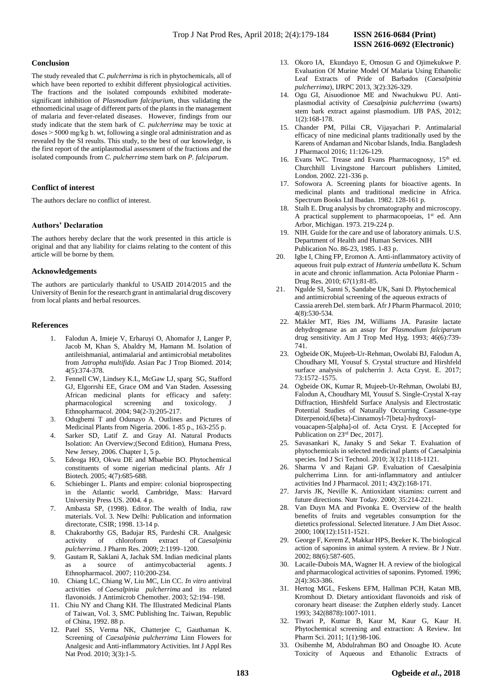# **Conclusion**

The study revealed that *C. pulcherrima* is rich in phytochemicals, all of which have been reported to exhibit different physiological activities. The fractions and the isolated compounds exhibited moderatesignificant inhibition of *Plasmodium falcipurium*, thus validating the ethnomedicinal usage of different parts of the plants in the management of malaria and fever-related diseases. However*,* findings from our study indicate that the stem bark of *C. pulcherrima* may be toxic at doses ˃ 5000 mg/kg b. wt, following a single oral administration and as revealed by the SI results. This study, to the best of our knowledge, is the first report of the antiplasmodial assessment of the fractions and the isolated compounds from *C. pulcherrima* stem bark on *P. falciparum*.

#### **Conflict of interest**

The authors declare no conflict of interest.

# **Authors' Declaration**

The authors hereby declare that the work presented in this article is original and that any liability for claims relating to the content of this article will be borne by them.

#### **Acknowledgements**

The authors are particularly thankful to USAID 2014/2015 and the University of Benin for the research grant in antimalarial drug discovery from local plants and herbal resources.

#### **References**

- 1. Falodun A, Imieje V, Erharuyi O, Ahomafor J, Langer P, Jacob M, Khan S, Abaldry M, Hamann M. Isolation of antileishmanial, antimalarial and antimicrobial metabolites from *Jatropha multifida.* Asian Pac J Trop Biomed. 2014; 4(5):374-378.
- 2. Fennell CW, Lindsey K.L, McGaw LJ, sparg SG, Stafford GJ, Elgorrshi EE, Grace OM and Van Staden. Assessing African medicinal plants for efficacy and safety: pharmacological screening and toxicology. Ethnopharmacol. 2004; 94(2-3):205-217.
- 3. Odugbemi T and Odunayo A. Outlines and Pictures of Medicinal Plants from Nigeria. 2006. 1-85 p., 163-255 p.
- 4. Sarker SD, Latif Z. and Gray AI. Natural Products Isolation: An Overview;(Second Edition), Humana Press, New Jersey, 2006. Chapter 1, 5 p.
- 5. Edeoga HO, Okwu DE and Mbaebie BO. Phytochemical constituents of some nigerian medicinal plants*.* Afr J Biotech*.* 2005; 4(7):685-688.
- 6. Schiebinger L. Plants and empire: colonial bioprospecting in the Atlantic world. Cambridge, Mass: Harvard University Press US. 2004. 4 p.
- Ambasta SP, (1998). Editor. The wealth of India, raw materials. Vol. 3. New Delhi: Publication and information directorate, CSIR; 1998. 13-14 p.
- 8. Chakraborthy GS, Badujar RS, Pardeshi CR. Analgesic activity of chloroform extract of *Caesalpinia pulcherrima*. J Pharm Res. 2009; 2:1199–1200.
- 9. Gautam R, Saklani A, Jachak SM. Indian medicinal plants as a source of antimycobacterial agents. J Ethnopharmacol. 2007; 110:200-234.
- 10. Chiang LC, Chiang W, Liu MC, Lin CC. *In vitro* antiviral activities of *Caesalpinia pulcherrima* and its related flavonoids. J Antimicrob Chemother. 2003; 52:194–198.
- 11. Chiu NY and Chang KH. The Illustrated Medicinal Plants of Taiwan, Vol. 3, SMC Publishing Inc. Taiwan, Republic of China, 1992. 88 p.
- 12. Patel SS, Verma NK, Chatterjee C, Gauthaman K. Screening of *Caesalpinia pulcherrima* Linn Flowers for Analgesic and Anti-inflammatory Activities. Int J Appl Res Nat Prod. 2010; 3(3):1-5.
- 13. Okoro IA, Ekundayo E, Omosun G and Ojimekukwe P. Evaluation Of Murine Model Of Malaria Using Ethanolic Leaf Extracts of Pride of Barbados (*Caesalpinia pulcherrima*), IJRPC 2013, 3(2):326-329.
- 14. Ogu GI, Aisuodionoe ME and Nwachukwu PU. Antiplasmodial activity of *Caesalpinia pulcherrima* (swarts) stem bark extract against plasmodium. IJB PAS, 2012; 1(2):168-178.
- 15. Chander PM, Pillai CR, Vijayachari P. Antimalarial efficacy of nine medicinal plants traditionally used by the Karens of Andaman and Nicobar Islands, India. Bangladesh J Pharmacol 2016; 11:126-129.
- 16. Evans WC. Trease and Evans Pharmacognosy, 15<sup>th</sup> ed. Churchhill Livingstone Harcourt publishers Limited, London. 2002. 221-336 p.
- 17. Sofowora A. Screening plants for bioactive agents. In medicinal plants and traditional medicine in Africa. Spectrum Books Ltd Ibadan. 1982. 128-161 p.
- 18. Stalh E. Drug analysis by chromatography and microscopy. A practical supplement to pharmacopoeias,  $1<sup>st</sup>$  ed. Ann Arbor, Michigan. 1973. 219-224 p.
- 19. NIH. Guide for the care and use of laboratory animals. U.S. Department of Health and Human Services. NIH Publication No. 86-23, 1985. 1-83 p.
- 20. Igbe I, Ching FP, Eromon A. Anti-inflammatory activity of aqueous fruit pulp extract of *Hunteria umbellata* K. Schum in acute and chronic inflammation. Acta Poloniae Pharm - Drug Res. 2010; 67(1):81-85.
- 21. Ngulde SI, Sanni S, Sandabe UK, Sani D. Phytochemical and antimicrobial screening of the aqueous extracts of Cassia arereh Del. stem bark. Afr J Pharm Pharmacol*.* 2010; 4(8):530-534*.*
- 22. Makler MT, Ries JM, Williams JA. Parasite lactate dehydrogenase as an assay for *Plasmodium falciparum* drug sensitivity. Am J Trop Med Hyg. 1993; 46(6):739- 741.
- 23. Ogbeide OK, Mujeeb-Ur-Rehman, Owolabi BJ, Falodun A, Choudhary MI, Yousuf S. Crystal structure and Hirshfeld surface analysis of pulcherrin J. Acta Cryst. E. 2017; 73:1572–1575.
- 24. Ogbeide OK, Kumar R, Mujeeb-Ur-Rehman, Owolabi BJ, Falodun A, Choudhary MI, Yousuf S. Single-Crystal X-ray Diffraction, Hirshfeld Surface Analysis and Electrostatic Potential Studies of Naturally Occurring Cassane-type Diterpenoid,6[beta]-Cinnamoyl-7[beta]-hydroxylvouacapen-5[alpha]-ol of. Acta Cryst. E [Accepted for Publication on 23rd Dec, 2017].
- 25. Savasankari K, Janaky S and Sekar T. Evaluation of phytochemicals in selected medicinal plants of Caesalpinia species. Ind J Sci Technol. 2010; 3(12):1118-1121.
- 26. Sharma V and Rajani GP. Evaluation of Caesalpinia pulcherrima Linn. for anti-inflammatory and antiulcer activities Ind J Pharmacol. 2011; 43(2):168-171.
- 27. Jarvis JK, Neville K. Antioxidant vitamins: current and future directions. Nutr Today. 2000; 35:214-221.
- 28. Van Duyn MA and Pivonka E. Overview of the health benefits of fruits and vegetables consumption for the dietetics professional. Selected literature. J Am Diet Assoc. 2000; 100(12):1511-1521.
- 29. George F, Kerem Z, Makkar HPS, Beeker K. The biological action of saponins in animal system. A review. Br J Nutr. 2002; 88(6):587-605.
- 30. Lacaile-Dubois MA, Wagner H. A review of the biological and pharmacological activities of saponins. Pytomed. 1996; 2(4):363-386.
- 31. Hertog MGL, Feskens EFM, Hallman PCH, Katan MB, Kromhout D. Dietary antioxidant flavonoids and risk of coronary heart disease: the Zutphen elderly study. Lancet 1993; 342(8878):1007-1011.
- 32. Tiwari P, Kumar B, Kaur M, Kaur G, Kaur H. Phytochemical screening and extraction: A Review. Int Pharm Sci. 2011; 1(1):98-106.
- 33. Osibemhe M, Abdulrahman BO and Onoagbe IO. Acute Toxicity of Aqueous and Ethanolic Extracts of